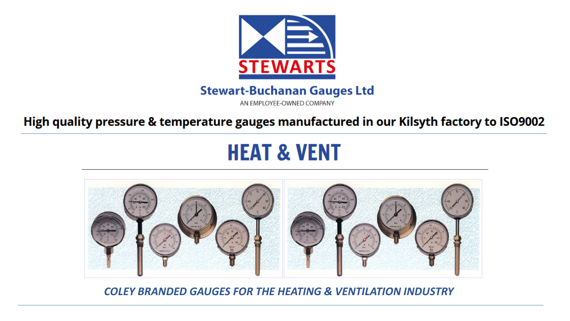

## **Stewart-Buchanan Gauges Ltd**

AN EMPLOYEE-OWNED COMPANY

High quality pressure & temperature gauges manufactured in our Kilsyth factory to ISO9002

# **HEAT & VENT**



*COLEY BRANDED GAUGES FOR THE HEATING & VENTILATION INDUSTRY*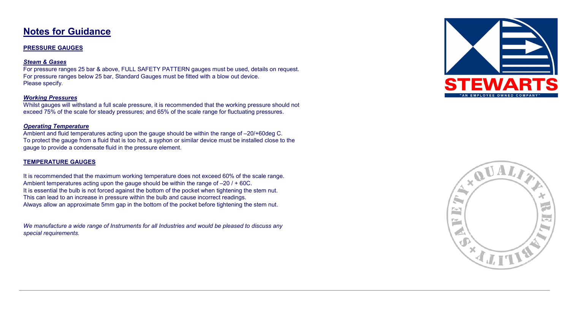## **Notes for Guidance**

#### **PRESSURE GAUGES**

#### *Steam & Gases*

For pressure ranges 25 bar & above, FULL SAFETY PATTERN gauges must be used, details on request. For pressure ranges below 25 bar, Standard Gauges must be fitted with a blow out device. Please specify.

#### *Working Pressures*

Whilst gauges will withstand a full scale pressure, it is recommended that the working pressure should not exceed 75% of the scale for steady pressures; and 65% of the scale range for fluctuating pressures.

#### *Operating Temperature*

Ambient and fluid temperatures acting upon the gauge should be within the range of –20/+60deg C. To protect the gauge from a fluid that is too hot, a syphon or similar device must be installed close to the gauge to provide a condensate fluid in the pressure element.

#### **TEMPERATURE GAUGES**

It is recommended that the maximum working temperature does not exceed 60% of the scale range. Ambient temperatures acting upon the gauge should be within the range of –20 / + 60C. It is essential the bulb is not forced against the bottom of the pocket when tightening the stem nut. This can lead to an increase in pressure within the bulb and cause incorrect readings. Always allow an approximate 5mm gap in the bottom of the pocket before tightening the stem nut.

*We manufacture a wide range of Instruments for all Industries and would be pleased to discuss any special requirements.*



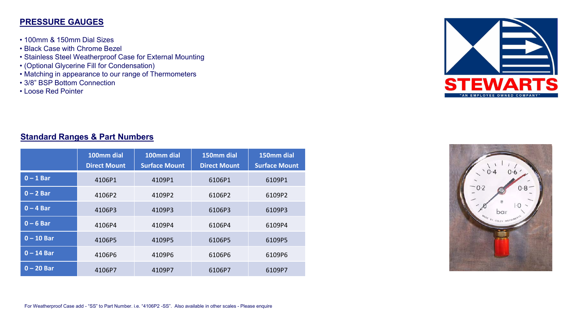#### **PRESSURE GAUGES**

- 100mm & 150mm Dial Sizes
- Black Case with Chrome Bezel
- Stainless Steel Weatherproof Case for External Mounting
- (Optional Glycerine Fill for Condensation)
- Matching in appearance to our range of Thermometers
- 3/8" BSP Bottom Connection
- Loose Red Pointer



#### **Standard Ranges & Part Numbers**

|              | 100mm dial<br><b>Direct Mount</b> | 100mm dial<br><b>Surface Mount</b> | 150mm dial<br><b>Direct Mount</b> | 150mm dial<br><b>Surface Mount</b> |
|--------------|-----------------------------------|------------------------------------|-----------------------------------|------------------------------------|
| $0 - 1$ Bar  | 4106P1                            | 4109P1                             | 6106P1                            | 6109P1                             |
| $0 - 2$ Bar  | 4106P2                            | 4109P2                             | 6106P2                            | 6109P2                             |
| $0 - 4$ Bar  | 4106P3                            | 4109P3                             | 6106P3                            | 6109P3                             |
| $0 - 6$ Bar  | 4106P4                            | 4109P4                             | 6106P4                            | 6109P4                             |
| $0 - 10$ Bar | 4106P5                            | 4109P5                             | 6106P5                            | 6109P5                             |
| $0 - 14$ Bar | 4106P6                            | 4109P6                             | 6106P6                            | 6109P6                             |
| $0 - 20$ Bar | 4106P7                            | 4109P7                             | 6106P7                            | 6109P7                             |

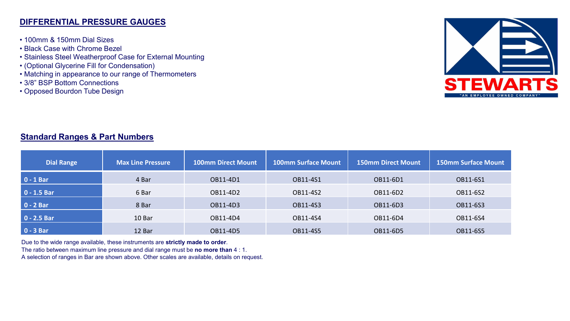#### **DIFFERENTIAL PRESSURE GAUGES**

- 100mm & 150mm Dial Sizes
- Black Case with Chrome Bezel
- Stainless Steel Weatherproof Case for External Mounting
- (Optional Glycerine Fill for Condensation)
- Matching in appearance to our range of Thermometers
- 3/8" BSP Bottom Connections
- Opposed Bourdon Tube Design



## **Standard Ranges & Part Numbers**

| <b>Dial Range</b> | <b>Max Line Pressure</b> | <b>100mm Direct Mount</b> | <b>100mm Surface Mount</b> | <b>150mm Direct Mount</b> | <b>150mm Surface Mount</b> |
|-------------------|--------------------------|---------------------------|----------------------------|---------------------------|----------------------------|
| $0 - 1$ Bar       | 4 Bar                    | OB11-4D1                  | OB11-4S1                   | OB11-6D1                  | OB11-6S1                   |
| $0 - 1.5$ Bar     | 6 Bar                    | OB11-4D2                  | OB11-4S2                   | OB11-6D2                  | OB11-6S2                   |
| $0 - 2 Bar$       | 8 Bar                    | OB11-4D3                  | OB11-4S3                   | OB11-6D3                  | OB11-6S3                   |
| $0 - 2.5$ Bar     | 10 Bar                   | OB11-4D4                  | OB11-4S4                   | OB11-6D4                  | OB11-6S4                   |
| $0 - 3 Bar$       | 12 Bar                   | OB11-4D5                  | OB11-4S5                   | OB11-6D5                  | OB11-6S5                   |

Due to the wide range available, these instruments are **strictly made to order**.

The ratio between maximum line pressure and dial range must be **no more than** 4 : 1.

A selection of ranges in Bar are shown above. Other scales are available, details on request.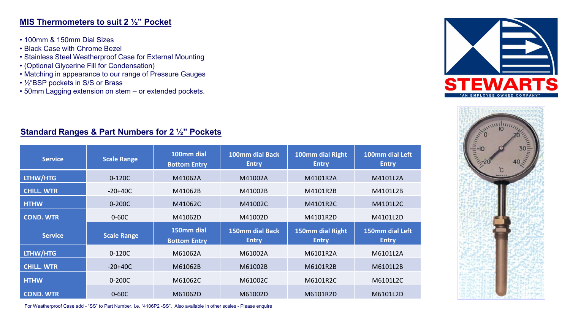#### **MIS Thermometers to suit 2 ½" Pocket**

- 100mm & 150mm Dial Sizes
- Black Case with Chrome Bezel
- Stainless Steel Weatherproof Case for External Mounting
- (Optional Glycerine Fill for Condensation)
- Matching in appearance to our range of Pressure Gauges
- ½"BSP pockets in S/S or Brass
- 50mm Lagging extension on stem or extended pockets.





## **Standard Ranges & Part Numbers for 2 ½" Pockets**

| <b>Service</b>    | <b>Scale Range</b> | 100mm dial<br><b>Bottom Entry</b> | 100mm dial Back<br><b>Entry</b>        | 100mm dial Right<br><b>Entry</b> | 100mm dial Left<br><b>Entry</b> |
|-------------------|--------------------|-----------------------------------|----------------------------------------|----------------------------------|---------------------------------|
| LTHW/HTG          | $0-120C$           | M41062A                           | M41002A                                | M4101R2A                         | M4101L2A                        |
| <b>CHILL. WTR</b> | $-20+40C$          | M41062B                           | M41002B                                | M4101R2B                         | M4101L2B                        |
| <b>HTHW</b>       | 0-200C             | M41062C                           | M41002C                                | M4101R2C                         | M4101L2C                        |
| <b>COND. WTR</b>  | $0-60C$            | M41062D                           | M41002D                                | M4101R2D                         | M4101L2D                        |
| <b>Service</b>    | <b>Scale Range</b> | 150mm dial<br><b>Bottom Entry</b> | <b>150mm dial Back</b><br><b>Entry</b> | 150mm dial Right<br><b>Entry</b> | 150mm dial Left<br><b>Entry</b> |
| <b>LTHW/HTG</b>   | $0-120C$           | M61062A                           | M61002A                                | M6101R2A                         | M6101L2A                        |
| <b>CHILL. WTR</b> | $-20+40C$          | M61062B                           | M61002B                                | M6101R2B                         | M6101L2B                        |
| <b>HTHW</b>       | $0 - 200C$         | M61062C                           | M61002C                                | M6101R2C                         | M6101L2C                        |
| <b>COND. WTR</b>  | $0 - 60C$          | M61062D                           | M61002D                                | M6101R2D                         | M6101L2D                        |

For Weatherproof Case add - "SS" to Part Number. i.e. "4106P2 -SS". Also available in other scales - Please enquire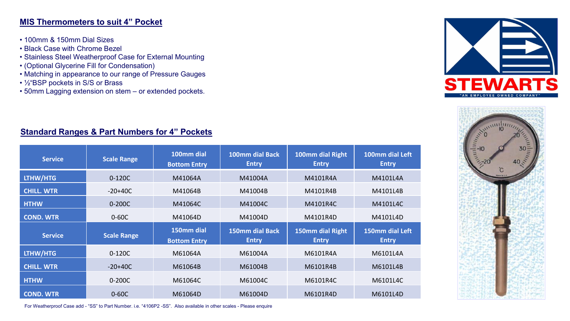#### **MIS Thermometers to suit 4" Pocket**

- 100mm & 150mm Dial Sizes
- Black Case with Chrome Bezel
- Stainless Steel Weatherproof Case for External Mounting
- (Optional Glycerine Fill for Condensation)
- Matching in appearance to our range of Pressure Gauges
- ½"BSP pockets in S/S or Brass
- 50mm Lagging extension on stem or extended pockets.





## **Standard Ranges & Part Numbers for 4" Pockets**

| <b>Service</b>    | <b>Scale Range</b> | 100mm dial<br><b>Bottom Entry</b> | 100mm dial Back<br><b>Entry</b> | 100mm dial Right<br><b>Entry</b> | 100mm dial Left<br><b>Entry</b> |
|-------------------|--------------------|-----------------------------------|---------------------------------|----------------------------------|---------------------------------|
| LTHW/HTG          | $0-120C$           | M41064A                           | M41004A                         | M4101R4A                         | M4101L4A                        |
| <b>CHILL. WTR</b> | $-20+40C$          | M41064B                           | M41004B                         | M4101R4B                         | M4101L4B                        |
| <b>HTHW</b>       | $0 - 200C$         | M41064C                           | M41004C                         | M4101R4C                         | M4101L4C                        |
| <b>COND. WTR</b>  | $0-60C$            | M41064D                           | M41004D                         | M4101R4D                         | M4101L4D                        |
| <b>Service</b>    | <b>Scale Range</b> | 150mm dial<br><b>Bottom Entry</b> | 150mm dial Back<br><b>Entry</b> | 150mm dial Right<br><b>Entry</b> | 150mm dial Left<br><b>Entry</b> |
| LTHW/HTG          | $0-120C$           | M61064A                           | M61004A                         | M6101R4A                         | M6101L4A                        |
| <b>CHILL. WTR</b> | $-20+40C$          | M61064B                           | M61004B                         | M6101R4B                         | M6101L4B                        |
| <b>HTHW</b>       | $0 - 200C$         | M61064C                           | M61004C                         | M6101R4C                         | M6101L4C                        |
| <b>COND. WTR</b>  | $0 - 60C$          | M61064D                           | M61004D                         | M6101R4D                         | M6101L4D                        |

For Weatherproof Case add - "SS" to Part Number. i.e. "4106P2 -SS". Also available in other scales - Please enquire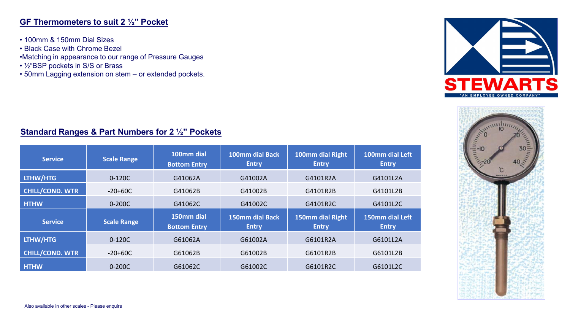#### **GF Thermometers to suit 2 ½" Pocket**

- 100mm & 150mm Dial Sizes
- Black Case with Chrome Bezel
- •Matching in appearance to our range of Pressure Gauges
- ½"BSP pockets in S/S or Brass
- 50mm Lagging extension on stem or extended pockets.





## **Standard Ranges & Part Numbers for 2 ½" Pockets**

| <b>Service</b>         | <b>Scale Range</b> | 100mm dial<br><b>Bottom Entry</b> | 100mm dial Back<br><b>Entry</b> | 100mm dial Right<br><b>Entry</b> | 100mm dial Left<br><b>Entry</b> |
|------------------------|--------------------|-----------------------------------|---------------------------------|----------------------------------|---------------------------------|
| LTHW/HTG               | $0 - 120C$         | G41062A                           | G41002A                         | G4101R2A                         | G4101L2A                        |
| <b>CHILL/COND. WTR</b> | $-20+60C$          | G41062B                           | G41002B                         | G4101R2B                         | G4101L2B                        |
| <b>HTHW</b>            | $0 - 200C$         | G41062C                           | G41002C                         | G4101R2C                         | G4101L2C                        |
| <b>Service</b>         | <b>Scale Range</b> | 150mm dial<br><b>Bottom Entry</b> | <b>150mm dial Back</b><br>Entry | 150mm dial Right<br><b>Entry</b> | 150mm dial Left<br><b>Entry</b> |
| LTHW/HTG               | $0-120C$           | G61062A                           | G61002A                         | G6101R2A                         | G6101L2A                        |
| <b>CHILL/COND. WTR</b> | $-20+60C$          | G61062B                           | G61002B                         | G6101R2B                         | G6101L2B                        |
| <b>HTHW</b>            | $0 - 200C$         | G61062C                           | G61002C                         | G6101R2C                         | G6101L2C                        |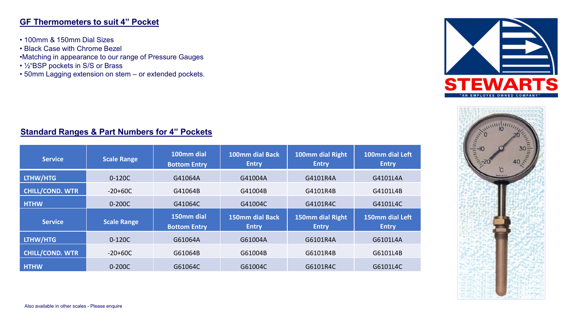#### **GF Thermometers to suit 4" Pocket**

- 100mm & 150mm Dial Sizes
- Black Case with Chrome Bezel
- •Matching in appearance to our range of Pressure Gauges
- ½"BSP pockets in S/S or Brass
- 50mm Lagging extension on stem or extended pockets.





## **Standard Ranges & Part Numbers for 4" Pockets**

| <b>Service</b>         | <b>Scale Range</b> | 100mm dial<br><b>Bottom Entry</b> | 100mm dial Back<br><b>Entry</b>        | 100mm dial Right<br><b>Entry</b> | 100mm dial Left<br><b>Entry</b> |
|------------------------|--------------------|-----------------------------------|----------------------------------------|----------------------------------|---------------------------------|
| LTHW/HTG               | 0-120C             | G41064A                           | G41004A                                | G4101R4A                         | G4101L4A                        |
| <b>CHILL/COND. WTR</b> | $-20+60C$          | G41064B                           | G41004B                                | G4101R4B                         | G4101L4B                        |
| <b>HTHW</b>            | $0 - 200C$         | G41064C                           | G41004C                                | G4101R4C                         | G4101L4C                        |
| <b>Service</b>         | <b>Scale Range</b> | 150mm dial<br><b>Bottom Entry</b> | <b>150mm dial Back</b><br><b>Entry</b> | 150mm dial Right<br><b>Entry</b> | 150mm dial Left<br><b>Entry</b> |
| LTHW/HTG               | $0-120C$           | G61064A                           | G61004A                                | G6101R4A                         | G6101L4A                        |
| <b>CHILL/COND. WTR</b> | $-20+60C$          | G61064B                           | G61004B                                | G6101R4B                         | G6101L4B                        |
| <b>HTHW</b>            | 0-200C             | G61064C                           | G61004C                                | G6101R4C                         | G6101L4C                        |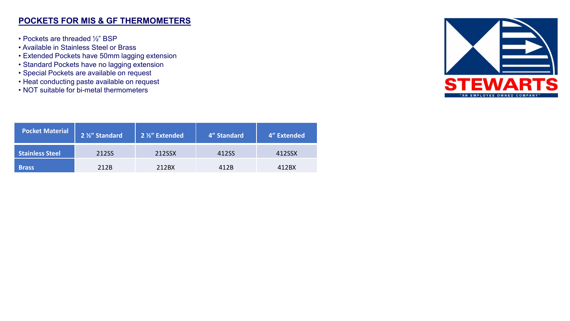#### **POCKETS FOR MIS & GF THERMOMETERS**

- Pockets are threaded ½" BSP
- Available in Stainless Steel or Brass
- Extended Pockets have 50mm lagging extension
- Standard Pockets have no lagging extension
- Special Pockets are available on request
- Heat conducting paste available on request
- NOT suitable for bi-metal thermometers

| <b>Pocket Material</b> | 2 1/2" Standard | 2 1/2" Extended | 4" Standard | 4" Extended |
|------------------------|-----------------|-----------------|-------------|-------------|
| <b>Stainless Steel</b> | 212SS           | 212SSX          | 412SS       | 412SSX      |
| <b>Brass</b>           | 212B            | 212BX           | 412B        | 412BX       |

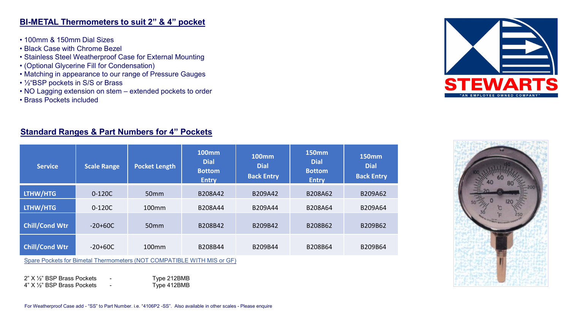#### **BI-METAL Thermometers to suit 2" & 4" pocket**

- 100mm & 150mm Dial Sizes
- Black Case with Chrome Bezel
- Stainless Steel Weatherproof Case for External Mounting
- (Optional Glycerine Fill for Condensation)
- Matching in appearance to our range of Pressure Gauges
- ½"BSP pockets in S/S or Brass
- NO Lagging extension on stem extended pockets to order
- Brass Pockets included

#### **Standard Ranges & Part Numbers for 4" Pockets**

| <b>Scale Range</b> | <b>Pocket Length</b> | <b>100mm</b><br><b>Dial</b><br><b>Bottom</b><br><b>Entry</b> | <b>100mm</b><br><b>Dial</b><br><b>Back Entry</b> | <b>150mm</b><br><b>Dial</b><br><b>Bottom</b><br><b>Entry</b> | <b>150mm</b><br><b>Dial</b><br><b>Back Entry</b> |
|--------------------|----------------------|--------------------------------------------------------------|--------------------------------------------------|--------------------------------------------------------------|--------------------------------------------------|
| 0-120C             | 50 <sub>mm</sub>     | B208A42                                                      | B209A42                                          | B208A62                                                      | B209A62                                          |
| 0-120C             | 100mm                | B208A44                                                      | B209A44                                          | B208A64                                                      | B209A64                                          |
| $-20+60C$          | 50 <sub>mm</sub>     | B208B42                                                      | B209B42                                          | B208B62                                                      | B209B62                                          |
| $-20+60C$          | 100mm                | B208B44                                                      | B209B44                                          | B208B64                                                      | B209B64                                          |
|                    |                      |                                                              |                                                  |                                                              |                                                  |

Spare Pockets for Bimetal Thermometers (NOT COMPATIBLE WITH MIS or GF)

 $2"$  X  $\frac{1}{2}$ " BSP Brass Pockets - Type 212BMB<br>
4" X  $\frac{1}{2}$ " BSP Brass Pockets - Type 412BMB  $4"$  X  $\frac{1}{2}$ " BSP Brass Pockets



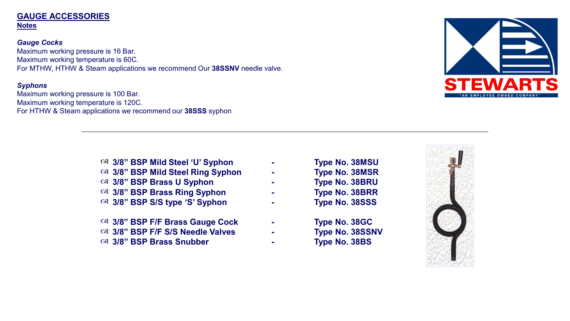#### **GAUGE ACCESSORIES Notes**

*Gauge Cocks* Maximum working pressure is 16 Bar. Maximum working temperature is 60C. For MTHW, HTHW & Steam applications we recommend Our **38SSNV** needle valve.

#### *Syphons*

Maximum working pressure is 100 Bar. Maximum working temperature is 120C. For HTHW & Steam applications we recommend our **38SSS** syphon



- **3/8" BSP Mild Steel 'U' Syphon - Type No. 38MSU 3/8" BSP Mild Steel Ring Syphon - Type No. 38MSR**
- **3/8" BSP Brass U Syphon - Type No. 38BRU**
- **3/8" BSP Brass Ring Syphon - Type No. 38BRR**
- **3/8" BSP S/S type 'S' Syphon - Type No. 38SSS**
- **3/8" BSP F/F Brass Gauge Cock - Type No. 38GC**
- **3/8" BSP F/F S/S Needle Valves - Type No. 38SSNV**
- **3/8" BSP Brass Snubber - Type No. 38BS**

- 
- 
-